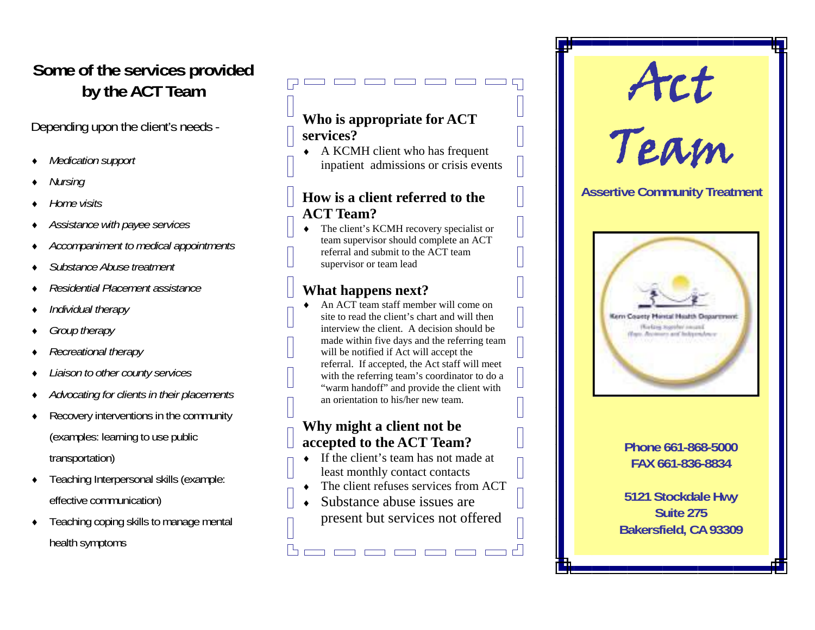### **Some of the services provided by the ACT Team**

Depending upon the client's needs -

- ٠ *Medication support*
- ٠ *Nursing*
- ٠ *Home visits*
- ٠ *Assistance with payee services*
- ٠ *Accompaniment to medical appointments*
- ٠ *Substance Abuse treatment*
- ٠ *Residential Placement assistance*
- ٠ *Individual therapy*
- ٠ *Group therapy*
- ٠ *Recreational therapy*
- ٠ *Liaison to other county services*
- ٠ *Advocating for clients in their placements*
- ٠ Recovery interventions in the community (examples: learning to use public transportation)
- $\bullet$  Teaching Interpersonal skills (example: effective communication)
- ٠ Teaching coping skills to manage mental health symptoms

#### **Who is appropriate for ACT services?**

 A KCMH client who has frequent inpatient admissions or crisis events

#### **How is a client referred to the ACT Team?**

 $\bullet$  The client's KCMH recovery specialist or team supervisor should complete an ACT referral and submit to the ACT team supervisor or team lead

### **What happens next?**

٠ An ACT team staff member will come on site to read the client's chart and will then interview the client. A decision should be made within five days and the referring team will be notified if Act will accept the referral. If accepted, the Act staff will meet with the referring team's coordinator to do a "warm handoff" and provide the client with an orientation to his/her new team.

#### **Why might a client not be accepted to the ACT Team?**

- $\bullet$  If the client's team has not made at least monthly contact contacts
- The client refuses services from ACT

 $=$   $=$   $=$   $=$   $=$   $\pm$ 

 $\bullet$  Substance abuse issues are present but services not offered



#### **Phone 661-868-5000 FAX 661-836-8834**

**5121 Stockdale Hwy Suite 275 Bakersfield, CA 93309**